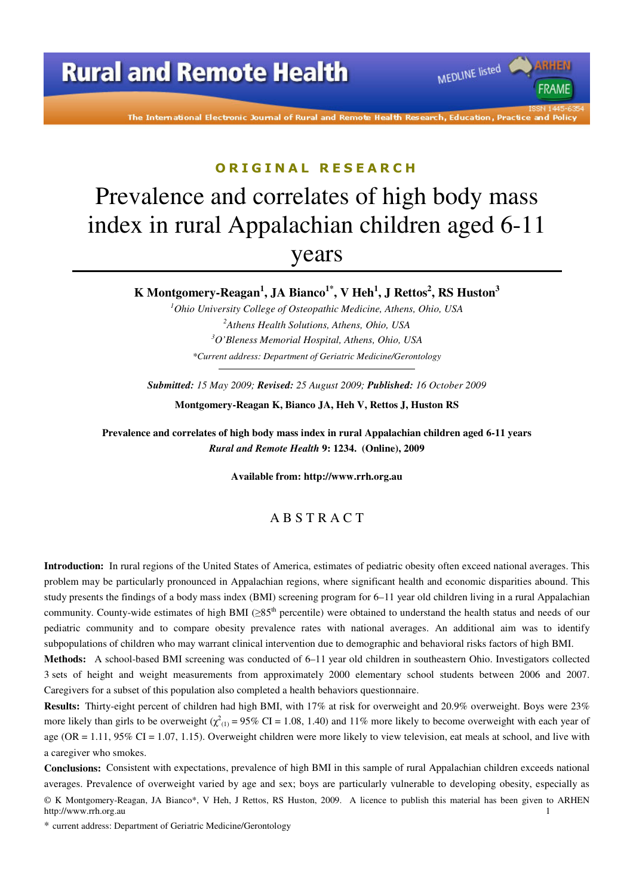# **Rural and Remote Health**

The International Electronic Journal of Rural and Remote Health Research, Education, Practice an d Polic

MEDLINE listed

**FRAMF** 

#### ORIGINAL RESEARCH

# Prevalence and correlates of high body mass index in rural Appalachian children aged 6-11 years

### **K Montgomery-Reagan<sup>1</sup> , JA Bianco1\*, V Heh<sup>1</sup> , J Rettos<sup>2</sup> , RS Huston<sup>3</sup>**

*Ohio University College of Osteopathic Medicine, Athens, Ohio, USA Athens Health Solutions, Athens, Ohio, USA O'Bleness Memorial Hospital, Athens, Ohio, USA \*Current address: Department of Geriatric Medicine/Gerontology*

*Submitted: 15 May 2009; Revised: 25 August 2009; Published: 16 October 2009* 

**Montgomery-Reagan K, Bianco JA, Heh V, Rettos J, Huston RS** 

**Prevalence and correlates of high body mass index in rural Appalachian children aged 6-11 years**  *Rural and Remote Health* **9: 1234. (Online), 2009** 

**Available from: http://www.rrh.org.au** 

#### A B S T R A C T

**Introduction:** In rural regions of the United States of America, estimates of pediatric obesity often exceed national averages. This problem may be particularly pronounced in Appalachian regions, where significant health and economic disparities abound. This study presents the findings of a body mass index (BMI) screening program for 6–11 year old children living in a rural Appalachian community. County-wide estimates of high BMI ( $\geq 85$ <sup>th</sup> percentile) were obtained to understand the health status and needs of our pediatric community and to compare obesity prevalence rates with national averages. An additional aim was to identify subpopulations of children who may warrant clinical intervention due to demographic and behavioral risks factors of high BMI.

**Methods:** A school-based BMI screening was conducted of 6–11 year old children in southeastern Ohio. Investigators collected 3 sets of height and weight measurements from approximately 2000 elementary school students between 2006 and 2007. Caregivers for a subset of this population also completed a health behaviors questionnaire.

**Results:** Thirty-eight percent of children had high BMI, with 17% at risk for overweight and 20.9% overweight. Boys were 23% more likely than girls to be overweight ( $\chi^2_{(1)}$  = 95% CI = 1.08, 1.40) and 11% more likely to become overweight with each year of age (OR =  $1.11$ , 95% CI =  $1.07$ ,  $1.15$ ). Overweight children were more likely to view television, eat meals at school, and live with a caregiver who smokes.

**Conclusions:** Consistent with expectations, prevalence of high BMI in this sample of rural Appalachian children exceeds national averages. Prevalence of overweight varied by age and sex; boys are particularly vulnerable to developing obesity, especially as

\* current address: Department of Geriatric Medicine/Gerontology

<sup>©</sup> K Montgomery-Reagan, JA Bianco\*, V Heh, J Rettos, RS Huston, 2009. A licence to publish this material has been given to ARHEN http://www.rrh.org.au 1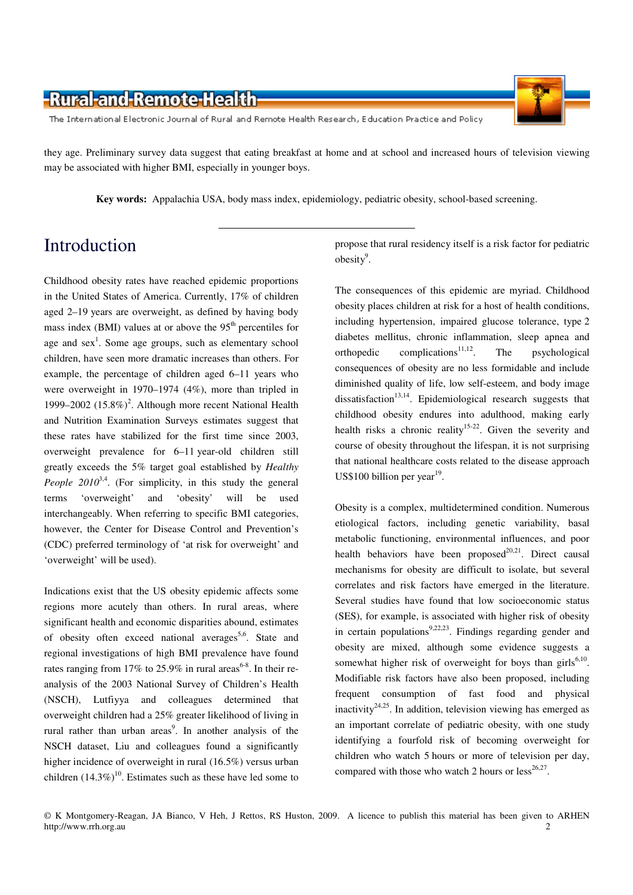The International Electronic Journal of Rural and Remote Health Research, Education Practice and Policy

they age. Preliminary survey data suggest that eating breakfast at home and at school and increased hours of television viewing may be associated with higher BMI, especially in younger boys.

**Key words:** Appalachia USA, body mass index, epidemiology, pediatric obesity, school-based screening.

# Introduction

Childhood obesity rates have reached epidemic proportions in the United States of America. Currently, 17% of children aged 2–19 years are overweight, as defined by having body mass index (BMI) values at or above the  $95<sup>th</sup>$  percentiles for age and  $sex<sup>1</sup>$ . Some age groups, such as elementary school children, have seen more dramatic increases than others. For example, the percentage of children aged 6–11 years who were overweight in 1970–1974 (4%), more than tripled in 1999–2002 (15.8%)<sup>2</sup>. Although more recent National Health and Nutrition Examination Surveys estimates suggest that these rates have stabilized for the first time since 2003, overweight prevalence for 6–11 year-old children still greatly exceeds the 5% target goal established by *Healthy People 2010*<sup>3,4</sup>. (For simplicity, in this study the general terms 'overweight' and 'obesity' will be used interchangeably. When referring to specific BMI categories, however, the Center for Disease Control and Prevention's (CDC) preferred terminology of 'at risk for overweight' and 'overweight' will be used).

Indications exist that the US obesity epidemic affects some regions more acutely than others. In rural areas, where significant health and economic disparities abound, estimates of obesity often exceed national averages<sup>5,6</sup>. State and regional investigations of high BMI prevalence have found rates ranging from 17% to 25.9% in rural areas<sup>6-8</sup>. In their reanalysis of the 2003 National Survey of Children's Health (NSCH), Lutfiyya and colleagues determined that overweight children had a 25% greater likelihood of living in rural rather than urban areas<sup>9</sup>. In another analysis of the NSCH dataset, Liu and colleagues found a significantly higher incidence of overweight in rural (16.5%) versus urban children  $(14.3\%)^{10}$ . Estimates such as these have led some to

propose that rural residency itself is a risk factor for pediatric  $obsity<sup>9</sup>$ .

The consequences of this epidemic are myriad. Childhood obesity places children at risk for a host of health conditions, including hypertension, impaired glucose tolerance, type 2 diabetes mellitus, chronic inflammation, sleep apnea and orthopedic complications<sup>11,12</sup>. The psychological consequences of obesity are no less formidable and include diminished quality of life, low self-esteem, and body image dissatisfaction<sup>13,14</sup>. Epidemiological research suggests that childhood obesity endures into adulthood, making early health risks a chronic reality<sup>15-22</sup>. Given the severity and course of obesity throughout the lifespan, it is not surprising that national healthcare costs related to the disease approach US\$100 billion per year $^{19}$ .

Obesity is a complex, multidetermined condition. Numerous etiological factors, including genetic variability, basal metabolic functioning, environmental influences, and poor health behaviors have been proposed $20,21$ . Direct causal mechanisms for obesity are difficult to isolate, but several correlates and risk factors have emerged in the literature. Several studies have found that low socioeconomic status (SES), for example, is associated with higher risk of obesity in certain populations<sup>9,22,23</sup>. Findings regarding gender and obesity are mixed, although some evidence suggests a somewhat higher risk of overweight for boys than  $girls^{6,10}$ . Modifiable risk factors have also been proposed, including frequent consumption of fast food and physical inactivity<sup>24,25</sup>. In addition, television viewing has emerged as an important correlate of pediatric obesity, with one study identifying a fourfold risk of becoming overweight for children who watch 5 hours or more of television per day, compared with those who watch 2 hours or  $less^{26,27}$ .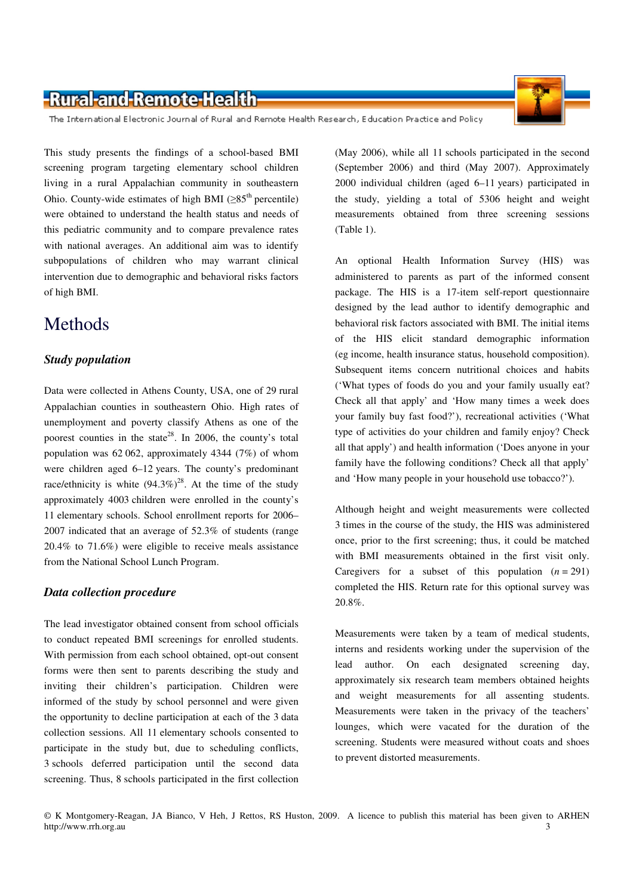The International Electronic Journal of Rural and Remote Health Research, Education Practice and Policy

This study presents the findings of a school-based BMI screening program targeting elementary school children living in a rural Appalachian community in southeastern Ohio. County-wide estimates of high BMI ( $\geq 85$ <sup>th</sup> percentile) were obtained to understand the health status and needs of this pediatric community and to compare prevalence rates with national averages. An additional aim was to identify subpopulations of children who may warrant clinical intervention due to demographic and behavioral risks factors of high BMI.

## Methods

#### *Study population*

Data were collected in Athens County, USA, one of 29 rural Appalachian counties in southeastern Ohio. High rates of unemployment and poverty classify Athens as one of the poorest counties in the state<sup>28</sup>. In 2006, the county's total population was 62 062, approximately 4344 (7%) of whom were children aged 6–12 years. The county's predominant race/ethnicity is white  $(94.3\%)^{28}$ . At the time of the study approximately 4003 children were enrolled in the county's 11 elementary schools. School enrollment reports for 2006– 2007 indicated that an average of 52.3% of students (range 20.4% to 71.6%) were eligible to receive meals assistance from the National School Lunch Program.

#### *Data collection procedure*

The lead investigator obtained consent from school officials to conduct repeated BMI screenings for enrolled students. With permission from each school obtained, opt-out consent forms were then sent to parents describing the study and inviting their children's participation. Children were informed of the study by school personnel and were given the opportunity to decline participation at each of the 3 data collection sessions. All 11 elementary schools consented to participate in the study but, due to scheduling conflicts, 3 schools deferred participation until the second data screening. Thus, 8 schools participated in the first collection

(May 2006), while all 11 schools participated in the second (September 2006) and third (May 2007). Approximately 2000 individual children (aged 6–11 years) participated in the study, yielding a total of 5306 height and weight measurements obtained from three screening sessions (Table 1).

An optional Health Information Survey (HIS) was administered to parents as part of the informed consent package. The HIS is a 17-item self-report questionnaire designed by the lead author to identify demographic and behavioral risk factors associated with BMI. The initial items of the HIS elicit standard demographic information (eg income, health insurance status, household composition). Subsequent items concern nutritional choices and habits ('What types of foods do you and your family usually eat? Check all that apply' and 'How many times a week does your family buy fast food?'), recreational activities ('What type of activities do your children and family enjoy? Check all that apply') and health information ('Does anyone in your family have the following conditions? Check all that apply' and 'How many people in your household use tobacco?').

Although height and weight measurements were collected 3 times in the course of the study, the HIS was administered once, prior to the first screening; thus, it could be matched with BMI measurements obtained in the first visit only. Caregivers for a subset of this population  $(n = 291)$ completed the HIS. Return rate for this optional survey was 20.8%.

Measurements were taken by a team of medical students, interns and residents working under the supervision of the lead author. On each designated screening day, approximately six research team members obtained heights and weight measurements for all assenting students. Measurements were taken in the privacy of the teachers' lounges, which were vacated for the duration of the screening. Students were measured without coats and shoes to prevent distorted measurements.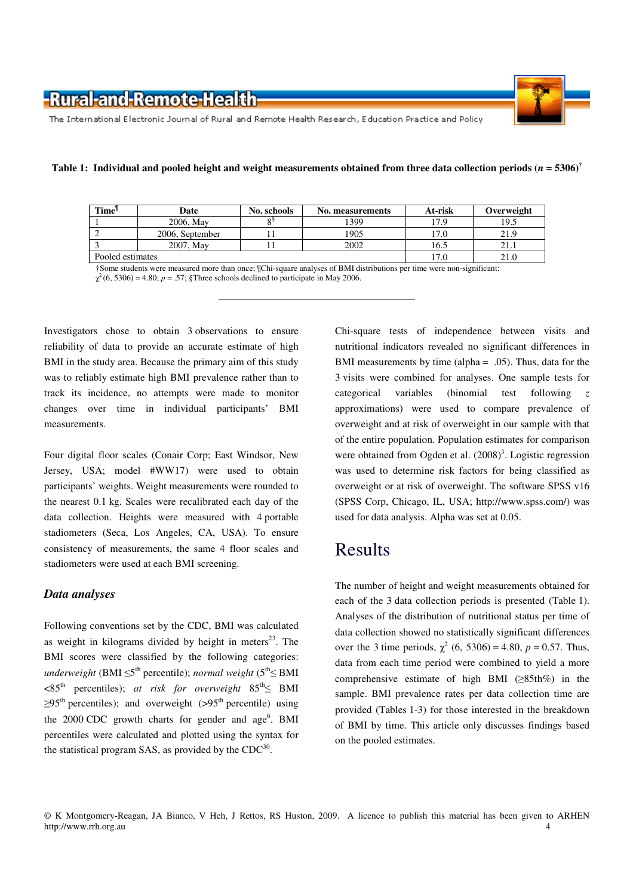

The International Electronic Journal of Rural and Remote Health Research, Education Practice and Policy

|  | Table 1: Individual and pooled height and weight measurements obtained from three data collection periods ( $n = 5306$ ) <sup>†</sup> |
|--|---------------------------------------------------------------------------------------------------------------------------------------|
|--|---------------------------------------------------------------------------------------------------------------------------------------|

| Time <sup>'l</sup> | Date            | No. schools | No. measurements | At-risk | Overweight |
|--------------------|-----------------|-------------|------------------|---------|------------|
|                    | 2006, May       |             | 1399             | 17.9    | 19.5       |
|                    | 2006. September |             | 1905             | .7.0    | 21.9       |
|                    | 2007. May       |             | 2002             | 16.5    |            |
| Pooled estimates   |                 | .7.0        | 21.0             |         |            |

†Some students were measured more than once; ¶Chi-square analyses of BMI distributions per time were non-significant:  $\chi^2$  (6, 5306) = 4.80; *p* = .57; §Three schools declined to participate in May 2006.

Investigators chose to obtain 3 observations to ensure reliability of data to provide an accurate estimate of high BMI in the study area. Because the primary aim of this study was to reliably estimate high BMI prevalence rather than to track its incidence, no attempts were made to monitor changes over time in individual participants' BMI measurements.

Four digital floor scales (Conair Corp; East Windsor, New Jersey, USA; model #WW17) were used to obtain participants' weights. Weight measurements were rounded to the nearest 0.1 kg. Scales were recalibrated each day of the data collection. Heights were measured with 4 portable stadiometers (Seca, Los Angeles, CA, USA). To ensure consistency of measurements, the same 4 floor scales and stadiometers were used at each BMI screening.

#### *Data analyses*

Following conventions set by the CDC, BMI was calculated as weight in kilograms divided by height in meters<sup>23</sup>. The BMI scores were classified by the following categories: *underweight* (BMI ≤5<sup>th</sup> percentile); *normal weight* (5<sup>th</sup>≤ BMI  $<85^{th}$  percentiles); *at risk for overweight*  $85^{th}$  BMI  $\geq$ 95<sup>th</sup> percentiles); and overweight ( $>$ 95<sup>th</sup> percentile) using the 2000 CDC growth charts for gender and  $age<sup>6</sup>$ . BMI percentiles were calculated and plotted using the syntax for the statistical program SAS, as provided by the  $CDC^{30}$ .

Chi-square tests of independence between visits and nutritional indicators revealed no significant differences in BMI measurements by time (alpha = .05). Thus, data for the 3 visits were combined for analyses. One sample tests for categorical variables (binomial test following *z* approximations) were used to compare prevalence of overweight and at risk of overweight in our sample with that of the entire population. Population estimates for comparison were obtained from Ogden et al. (2008)<sup>3</sup>. Logistic regression was used to determine risk factors for being classified as overweight or at risk of overweight. The software SPSS v16 (SPSS Corp, Chicago, IL, USA; http://www.spss.com/) was used for data analysis. Alpha was set at 0.05.

## Results

The number of height and weight measurements obtained for each of the 3 data collection periods is presented (Table 1). Analyses of the distribution of nutritional status per time of data collection showed no statistically significant differences over the 3 time periods,  $\chi^2$  (6, 5306) = 4.80,  $p = 0.57$ . Thus, data from each time period were combined to yield a more comprehensive estimate of high BMI  $(\geq 85th\%)$  in the sample. BMI prevalence rates per data collection time are provided (Tables 1-3) for those interested in the breakdown of BMI by time. This article only discusses findings based on the pooled estimates.

<sup>©</sup> K Montgomery-Reagan, JA Bianco, V Heh, J Rettos, RS Huston, 2009. A licence to publish this material has been given to ARHEN http://www.rrh.org.au 4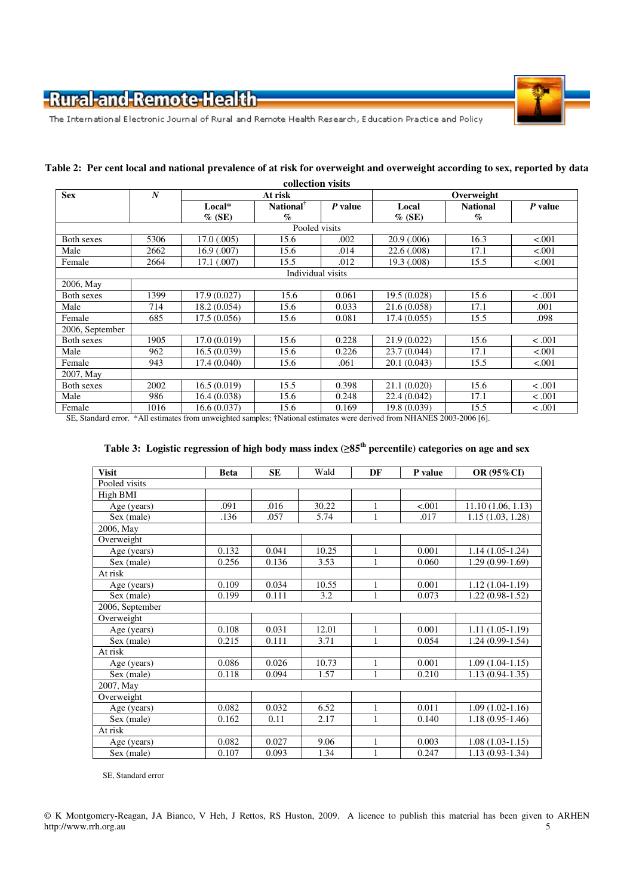

The International Electronic Journal of Rural and Remote Health Research, Education Practice and Policy

| <b>Sex</b>      | $\boldsymbol{N}$ | At risk          |                             |         | Overweight   |                 |         |  |
|-----------------|------------------|------------------|-----------------------------|---------|--------------|-----------------|---------|--|
|                 |                  | Local*           | National <sup>®</sup>       | P value | Local        | <b>National</b> | P value |  |
|                 |                  | $\%$ (SE)        | $\mathcal{G}_{\mathcal{O}}$ |         | $\%$ (SE)    | $\%$            |         |  |
| Pooled visits   |                  |                  |                             |         |              |                 |         |  |
| Both sexes      | 5306             | $17.0 \ (0.005)$ | 15.6                        | .002    | 20.9(.006)   | 16.3            | < .001  |  |
| Male            | 2662             | 16.9(0.007)      | 15.6                        | .014    | 22.6 (.008)  | 17.1            | < 0.001 |  |
| Female          | 2664             | 17.1 (.007)      | 15.5                        | .012    | 19.3 (.008)  | 15.5            | < 0.001 |  |
|                 |                  |                  | Individual visits           |         |              |                 |         |  |
| 2006, May       |                  |                  |                             |         |              |                 |         |  |
| Both sexes      | 1399             | 17.9(0.027)      | 15.6                        | 0.061   | 19.5 (0.028) | 15.6            | < .001  |  |
| Male            | 714              | 18.2(0.054)      | 15.6                        | 0.033   | 21.6 (0.058) | 17.1            | .001    |  |
| Female          | 685              | 17.5(0.056)      | 15.6                        | 0.081   | 17.4(0.055)  | 15.5            | .098    |  |
| 2006, September |                  |                  |                             |         |              |                 |         |  |
| Both sexes      | 1905             | 17.0 (0.019)     | 15.6                        | 0.228   | 21.9 (0.022) | 15.6            | < .001  |  |
| Male            | 962              | 16.5(0.039)      | 15.6                        | 0.226   | 23.7 (0.044) | 17.1            | < .001  |  |
| Female          | 943              | 17.4 (0.040)     | 15.6                        | .061    | 20.1 (0.043) | 15.5            | < .001  |  |
| 2007, May       |                  |                  |                             |         |              |                 |         |  |
| Both sexes      | 2002             | 16.5(0.019)      | 15.5                        | 0.398   | 21.1 (0.020) | 15.6            | < .001  |  |
| Male            | 986              | 16.4 (0.038)     | 15.6                        | 0.248   | 22.4 (0.042) | 17.1            | < .001  |  |
| Female          | 1016             | 16.6 (0.037)     | 15.6                        | 0.169   | 19.8 (0.039) | 15.5            | < .001  |  |

#### **Table 2: Per cent local and national prevalence of at risk for overweight and overweight according to sex, reported by data collection visits**

SE, Standard error. \*All estimates from unweighted samples; **†**National estimates were derived from NHANES 2003-2006 [6].

#### **Table 3: Logistic regression of high body mass index (**≥**85th percentile) categories on age and sex**

| <b>Visit</b>       | <b>Beta</b> | <b>SE</b> | Wald  | DF           | P value | OR (95%CI)          |
|--------------------|-------------|-----------|-------|--------------|---------|---------------------|
| Pooled visits      |             |           |       |              |         |                     |
| High BMI           |             |           |       |              |         |                     |
| Age (years)        | .091        | .016      | 30.22 | $\mathbf{1}$ | < .001  | 11.10(1.06, 1.13)   |
| Sex (male)         | .136        | .057      | 5.74  | 1            | .017    | 1.15(1.03, 1.28)    |
| 2006, May          |             |           |       |              |         |                     |
| Overweight         |             |           |       |              |         |                     |
| Age (years)        | 0.132       | 0.041     | 10.25 | $\mathbf{1}$ | 0.001   | $1.14(1.05-1.24)$   |
| Sex (male)         | 0.256       | 0.136     | 3.53  | $\mathbf{1}$ | 0.060   | $1.29(0.99-1.69)$   |
| At risk            |             |           |       |              |         |                     |
| Age (years)        | 0.109       | 0.034     | 10.55 | $\mathbf{1}$ | 0.001   | $1.12(1.04-1.19)$   |
| Sex (male)         | 0.199       | 0.111     | 3.2   | 1            | 0.073   | $1.22(0.98-1.52)$   |
| $2006$ , September |             |           |       |              |         |                     |
| Overweight         |             |           |       |              |         |                     |
| Age (years)        | 0.108       | 0.031     | 12.01 | $\mathbf{1}$ | 0.001   | $1.11(1.05-1.19)$   |
| Sex (male)         | 0.215       | 0.111     | 3.71  | $\mathbf{1}$ | 0.054   | $1.24(0.99-1.54)$   |
| At risk            |             |           |       |              |         |                     |
| Age (years)        | 0.086       | 0.026     | 10.73 | 1            | 0.001   | $1.09(1.04-1.15)$   |
| Sex (male)         | 0.118       | 0.094     | 1.57  | $\mathbf{1}$ | 0.210   | $1.13(0.94 - 1.35)$ |
| 2007, May          |             |           |       |              |         |                     |
| Overweight         |             |           |       |              |         |                     |
| Age (years)        | 0.082       | 0.032     | 6.52  | $\mathbf{1}$ | 0.011   | $1.09(1.02-1.16)$   |
| Sex (male)         | 0.162       | 0.11      | 2.17  | 1            | 0.140   | $1.18(0.95-1.46)$   |
| At risk            |             |           |       |              |         |                     |
| Age (years)        | 0.082       | 0.027     | 9.06  | $\mathbf{1}$ | 0.003   | $1.08(1.03-1.15)$   |
| Sex (male)         | 0.107       | 0.093     | 1.34  | 1            | 0.247   | $1.13(0.93-1.34)$   |

SE, Standard error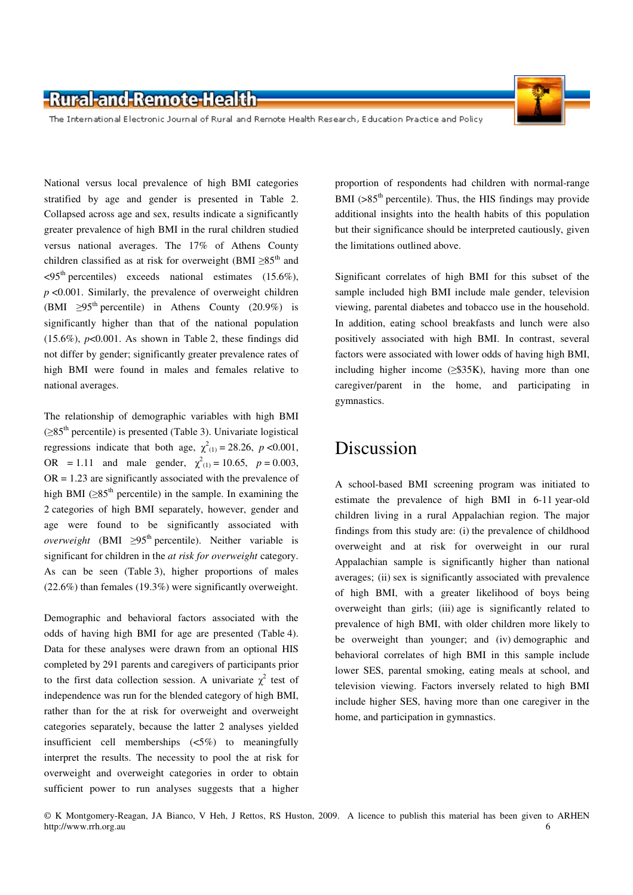The International Electronic Journal of Rural and Remote Health Research, Education Practice and Policy

National versus local prevalence of high BMI categories stratified by age and gender is presented in Table 2. Collapsed across age and sex, results indicate a significantly greater prevalence of high BMI in the rural children studied versus national averages. The 17% of Athens County children classified as at risk for overweight (BMI ≥85<sup>th</sup> and  $\langle 95^{\text{th}}$  percentiles) exceeds national estimates (15.6%),  $p \le 0.001$ . Similarly, the prevalence of overweight children (BMI  $\geq 95^{\text{th}}$  percentile) in Athens County (20.9%) is significantly higher than that of the national population  $(15.6\%)$ ,  $p<0.001$ . As shown in Table 2, these findings did not differ by gender; significantly greater prevalence rates of high BMI were found in males and females relative to national averages.

The relationship of demographic variables with high BMI  $(\geq 85<sup>th</sup>$  percentile) is presented (Table 3). Univariate logistical regressions indicate that both age,  $\chi^2_{(1)} = 28.26$ ,  $p < 0.001$ , OR = 1.11 and male gender,  $\chi^2_{(1)} = 10.65$ ,  $p = 0.003$ ,  $OR = 1.23$  are significantly associated with the prevalence of high BMI ( $\geq$ 85<sup>th</sup> percentile) in the sample. In examining the 2 categories of high BMI separately, however, gender and age were found to be significantly associated with *overweight* (BMI  $\geq$ 95<sup>th</sup> percentile). Neither variable is significant for children in the *at risk for overweight* category. As can be seen (Table 3), higher proportions of males (22.6%) than females (19.3%) were significantly overweight.

Demographic and behavioral factors associated with the odds of having high BMI for age are presented (Table 4). Data for these analyses were drawn from an optional HIS completed by 291 parents and caregivers of participants prior to the first data collection session. A univariate  $\chi^2$  test of independence was run for the blended category of high BMI, rather than for the at risk for overweight and overweight categories separately, because the latter 2 analyses yielded insufficient cell memberships (<5%) to meaningfully interpret the results. The necessity to pool the at risk for overweight and overweight categories in order to obtain sufficient power to run analyses suggests that a higher

proportion of respondents had children with normal-range BMI ( $>85<sup>th</sup>$  percentile). Thus, the HIS findings may provide additional insights into the health habits of this population but their significance should be interpreted cautiously, given the limitations outlined above.

Significant correlates of high BMI for this subset of the sample included high BMI include male gender, television viewing, parental diabetes and tobacco use in the household. In addition, eating school breakfasts and lunch were also positively associated with high BMI. In contrast, several factors were associated with lower odds of having high BMI, including higher income  $(\geq$ \$35K), having more than one caregiver/parent in the home, and participating in gymnastics.

## Discussion

A school-based BMI screening program was initiated to estimate the prevalence of high BMI in 6-11 year-old children living in a rural Appalachian region. The major findings from this study are: (i) the prevalence of childhood overweight and at risk for overweight in our rural Appalachian sample is significantly higher than national averages; (ii) sex is significantly associated with prevalence of high BMI, with a greater likelihood of boys being overweight than girls; (iii) age is significantly related to prevalence of high BMI, with older children more likely to be overweight than younger; and (iv) demographic and behavioral correlates of high BMI in this sample include lower SES, parental smoking, eating meals at school, and television viewing. Factors inversely related to high BMI include higher SES, having more than one caregiver in the home, and participation in gymnastics.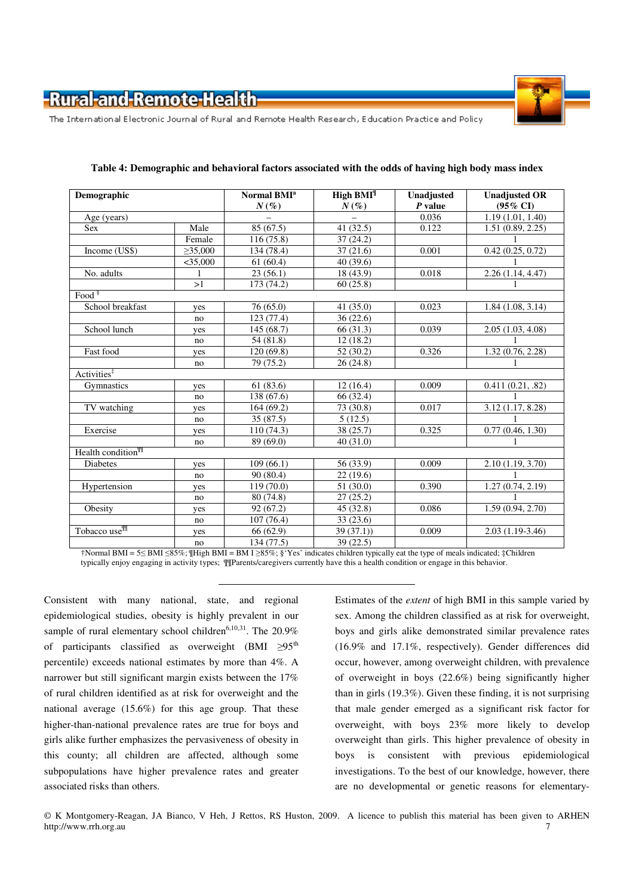

The International Electronic Journal of Rural and Remote Health Research, Education Practice and Policy

| Demographic                                                                                                             |               | Normal BMI <sup>a</sup> | High $BMI^{\parallel}$ | Unadjusted | <b>Unadjusted OR</b> |
|-------------------------------------------------------------------------------------------------------------------------|---------------|-------------------------|------------------------|------------|----------------------|
|                                                                                                                         |               | $N(\%)$                 | $N(\%)$                | P value    | $(95\% \text{ CI})$  |
| Age (years)                                                                                                             |               |                         |                        | 0.036      | 1.19(1.01, 1.40)     |
| <b>Sex</b>                                                                                                              | Male          | 85 (67.5)               | 41 (32.5)              | 0.122      | 1.51(0.89, 2.25)     |
|                                                                                                                         | Female        | 116(75.8)               | 37(24.2)               |            | 1                    |
| Income (US\$)                                                                                                           | $\geq$ 35,000 | 134 (78.4)              | 37(21.6)               | 0.001      | 0.42(0.25, 0.72)     |
|                                                                                                                         | $<$ 35,000    | 61(60.4)                | 40 (39.6)              |            |                      |
| No. adults                                                                                                              |               | 23(56.1)                | 18 (43.9)              | 0.018      | 2.26(1.14, 4.47)     |
|                                                                                                                         | >1            | 173 (74.2)              | 60(25.8)               |            |                      |
| $Food$ <sup>§</sup>                                                                                                     |               |                         |                        |            |                      |
| School breakfast                                                                                                        | yes           | 76 (65.0)               | 41(35.0)               | 0.023      | 1.84(1.08, 3.14)     |
|                                                                                                                         | no            | 123 (77.4)              | 36(22.6)               |            |                      |
| School lunch                                                                                                            | yes           | 145(68.7)               | 66 (31.3)              | 0.039      | 2.05(1.03, 4.08)     |
|                                                                                                                         | no            | 54 (81.8)               | 12(18.2)               |            |                      |
| Fast food                                                                                                               | yes           | 120(69.8)               | 52 (30.2)              | 0.326      | 1.32(0.76, 2.28)     |
|                                                                                                                         | no            | 79 (75.2)               | 26 (24.8)              |            |                      |
| Activities <sup>‡</sup>                                                                                                 |               |                         |                        |            |                      |
| Gymnastics                                                                                                              | yes           | 61(83.6)                | 12(16.4)               | 0.009      | 0.411(0.21, .82)     |
|                                                                                                                         | no            | 138 (67.6)              | 66 (32.4)              |            |                      |
| TV watching                                                                                                             | yes           | 164(69.2)               | 73 (30.8)              | 0.017      | 3.12(1.17, 8.28)     |
|                                                                                                                         | no            | 35 (87.5)               | 5(12.5)                |            |                      |
| Exercise                                                                                                                | yes           | 110(74.3)               | 38 (25.7)              | 0.325      | 0.77(0.46, 1.30)     |
|                                                                                                                         | no            | 89 (69.0)               | 40(31.0)               |            |                      |
| Health condition <sup>\\\re{\\sigma}{\sigma_{\sigma_{\sigma_{\sigma_{\sigma_{\sigma_{\sigma_{\sigma_{\sigma_}}}}}</sup> |               |                         |                        |            |                      |
| Diabetes                                                                                                                | yes           | 109(66.1)               | 56 (33.9)              | 0.009      | 2.10(1.19, 3.70)     |
|                                                                                                                         | no            | 90(80.4)                | 22(19.6)               |            |                      |
| Hypertension                                                                                                            | yes           | 119 (70.0)              | 51 (30.0)              | 0.390      | 1.27(0.74, 2.19)     |
|                                                                                                                         | no            | 80 (74.8)               | 27(25.2)               |            |                      |
| Obesity                                                                                                                 | yes           | 92(67.2)                | 45 (32.8)              | 0.086      | 1.59 (0.94, 2.70)    |
|                                                                                                                         | no            | 107(76.4)               | 33 (23.6)              |            |                      |
| Tobacco use <sup>¶¶</sup>                                                                                               | yes           | 66 (62.9)               | 39(37.1)               | 0.009      | $2.03(1.19-3.46)$    |
|                                                                                                                         | no            | 134 (77.5)              | 39 (22.5)              |            |                      |

**Table 4: Demographic and behavioral factors associated with the odds of having high body mass index** 

†Normal BMI = 5≤ BMI ≤85%; ¶High BMI = BM I ≥85%; §'Yes' indicates children typically eat the type of meals indicated; ‡Children typically enjoy engaging in activity types; ¶¶Parents/caregivers currently have this a health condition or engage in this behavior.

Consistent with many national, state, and regional epidemiological studies, obesity is highly prevalent in our sample of rural elementary school children<sup>6,10,31</sup>. The  $20.9\%$ of participants classified as overweight (BMI  $\geq 95$ <sup>th</sup> percentile) exceeds national estimates by more than 4%. A narrower but still significant margin exists between the 17% of rural children identified as at risk for overweight and the national average (15.6%) for this age group. That these higher-than-national prevalence rates are true for boys and girls alike further emphasizes the pervasiveness of obesity in this county; all children are affected, although some subpopulations have higher prevalence rates and greater associated risks than others.

Estimates of the *extent* of high BMI in this sample varied by sex. Among the children classified as at risk for overweight, boys and girls alike demonstrated similar prevalence rates (16.9% and 17.1%, respectively). Gender differences did occur, however, among overweight children, with prevalence of overweight in boys (22.6%) being significantly higher than in girls (19.3%). Given these finding, it is not surprising that male gender emerged as a significant risk factor for overweight, with boys 23% more likely to develop overweight than girls. This higher prevalence of obesity in boys is consistent with previous epidemiological investigations. To the best of our knowledge, however, there are no developmental or genetic reasons for elementary-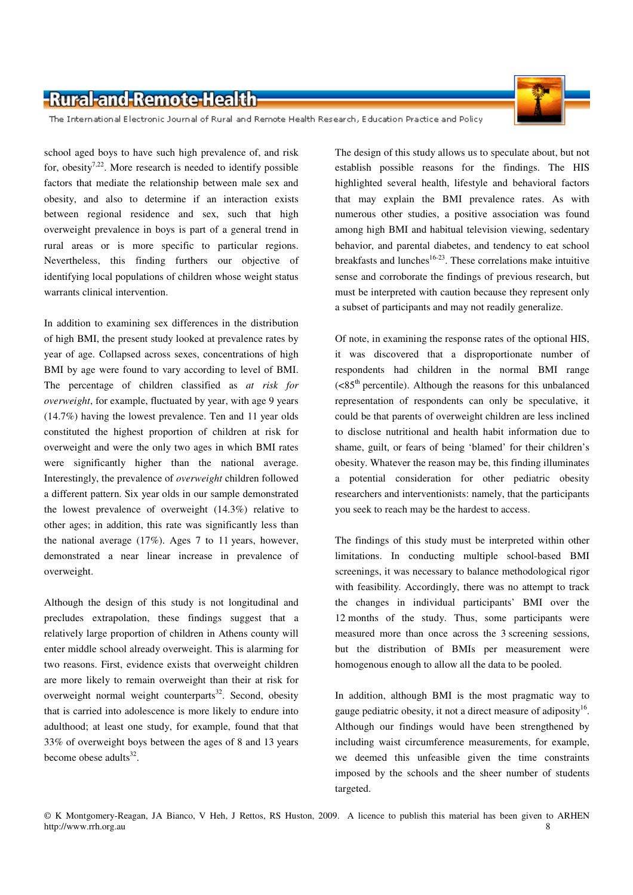The International Electronic Journal of Rural and Remote Health Research, Education Practice and Policy

school aged boys to have such high prevalence of, and risk for, obesity<sup>7,22</sup>. More research is needed to identify possible factors that mediate the relationship between male sex and obesity, and also to determine if an interaction exists between regional residence and sex, such that high overweight prevalence in boys is part of a general trend in rural areas or is more specific to particular regions. Nevertheless, this finding furthers our objective of identifying local populations of children whose weight status warrants clinical intervention.

In addition to examining sex differences in the distribution of high BMI, the present study looked at prevalence rates by year of age. Collapsed across sexes, concentrations of high BMI by age were found to vary according to level of BMI. The percentage of children classified as *at risk for overweight*, for example, fluctuated by year, with age 9 years (14.7%) having the lowest prevalence. Ten and 11 year olds constituted the highest proportion of children at risk for overweight and were the only two ages in which BMI rates were significantly higher than the national average. Interestingly, the prevalence of *overweight* children followed a different pattern. Six year olds in our sample demonstrated the lowest prevalence of overweight (14.3%) relative to other ages; in addition, this rate was significantly less than the national average (17%). Ages 7 to 11 years, however, demonstrated a near linear increase in prevalence of overweight.

Although the design of this study is not longitudinal and precludes extrapolation, these findings suggest that a relatively large proportion of children in Athens county will enter middle school already overweight. This is alarming for two reasons. First, evidence exists that overweight children are more likely to remain overweight than their at risk for overweight normal weight counterparts $32$ . Second, obesity that is carried into adolescence is more likely to endure into adulthood; at least one study, for example, found that that 33% of overweight boys between the ages of 8 and 13 years become obese adults $^{32}$ .

The design of this study allows us to speculate about, but not establish possible reasons for the findings. The HIS highlighted several health, lifestyle and behavioral factors that may explain the BMI prevalence rates. As with numerous other studies, a positive association was found among high BMI and habitual television viewing, sedentary behavior, and parental diabetes, and tendency to eat school breakfasts and lunches<sup>16-23</sup>. These correlations make intuitive sense and corroborate the findings of previous research, but must be interpreted with caution because they represent only a subset of participants and may not readily generalize.

Of note, in examining the response rates of the optional HIS, it was discovered that a disproportionate number of respondents had children in the normal BMI range  $(**85**<sup>th</sup> percentile)$ . Although the reasons for this unbalanced representation of respondents can only be speculative, it could be that parents of overweight children are less inclined to disclose nutritional and health habit information due to shame, guilt, or fears of being 'blamed' for their children's obesity. Whatever the reason may be, this finding illuminates a potential consideration for other pediatric obesity researchers and interventionists: namely, that the participants you seek to reach may be the hardest to access.

The findings of this study must be interpreted within other limitations. In conducting multiple school-based BMI screenings, it was necessary to balance methodological rigor with feasibility. Accordingly, there was no attempt to track the changes in individual participants' BMI over the 12 months of the study. Thus, some participants were measured more than once across the 3 screening sessions, but the distribution of BMIs per measurement were homogenous enough to allow all the data to be pooled.

In addition, although BMI is the most pragmatic way to gauge pediatric obesity, it not a direct measure of adiposity<sup>16</sup>. Although our findings would have been strengthened by including waist circumference measurements, for example, we deemed this unfeasible given the time constraints imposed by the schools and the sheer number of students targeted.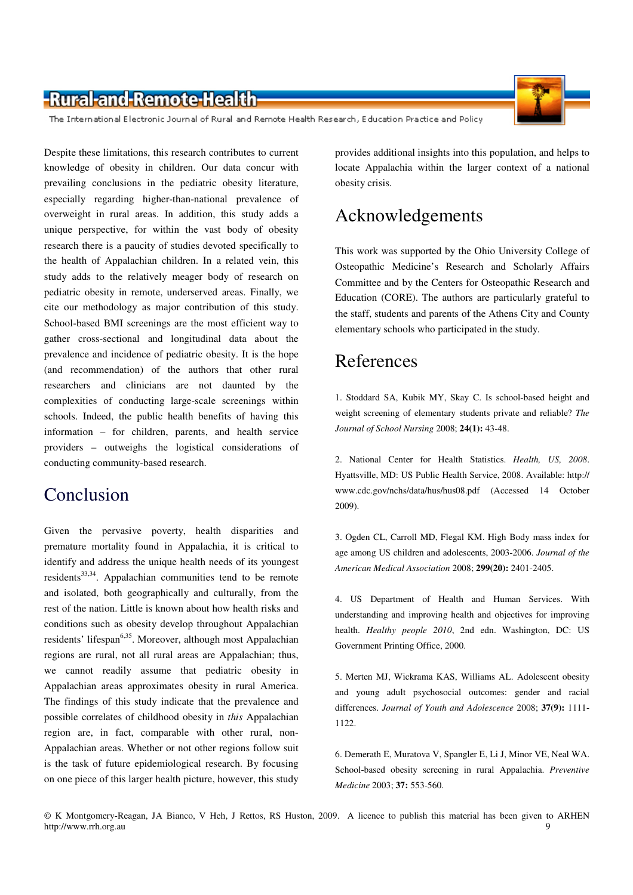

The International Electronic Journal of Rural and Remote Health Research, Education Practice and Policy

Despite these limitations, this research contributes to current knowledge of obesity in children. Our data concur with prevailing conclusions in the pediatric obesity literature, especially regarding higher-than-national prevalence of overweight in rural areas. In addition, this study adds a unique perspective, for within the vast body of obesity research there is a paucity of studies devoted specifically to the health of Appalachian children. In a related vein, this study adds to the relatively meager body of research on pediatric obesity in remote, underserved areas. Finally, we cite our methodology as major contribution of this study. School-based BMI screenings are the most efficient way to gather cross-sectional and longitudinal data about the prevalence and incidence of pediatric obesity. It is the hope (and recommendation) of the authors that other rural researchers and clinicians are not daunted by the complexities of conducting large-scale screenings within schools. Indeed, the public health benefits of having this information – for children, parents, and health service providers – outweighs the logistical considerations of conducting community-based research.

# Conclusion

Given the pervasive poverty, health disparities and premature mortality found in Appalachia, it is critical to identify and address the unique health needs of its youngest residents<sup>33,34</sup>. Appalachian communities tend to be remote and isolated, both geographically and culturally, from the rest of the nation. Little is known about how health risks and conditions such as obesity develop throughout Appalachian residents' lifespan<sup>6,35</sup>. Moreover, although most Appalachian regions are rural, not all rural areas are Appalachian; thus, we cannot readily assume that pediatric obesity in Appalachian areas approximates obesity in rural America. The findings of this study indicate that the prevalence and possible correlates of childhood obesity in *this* Appalachian region are, in fact, comparable with other rural, non-Appalachian areas. Whether or not other regions follow suit is the task of future epidemiological research. By focusing on one piece of this larger health picture, however, this study

provides additional insights into this population, and helps to locate Appalachia within the larger context of a national obesity crisis.

# Acknowledgements

This work was supported by the Ohio University College of Osteopathic Medicine's Research and Scholarly Affairs Committee and by the Centers for Osteopathic Research and Education (CORE). The authors are particularly grateful to the staff, students and parents of the Athens City and County elementary schools who participated in the study.

# References

1. Stoddard SA, Kubik MY, Skay C. Is school-based height and weight screening of elementary students private and reliable? *The Journal of School Nursing* 2008; **24(1):** 43-48.

2. National Center for Health Statistics. *Health, US, 2008*. Hyattsville, MD: US Public Health Service, 2008. Available: http:// www.cdc.gov/nchs/data/hus/hus08.pdf (Accessed 14 October 2009).

3. Ogden CL, Carroll MD, Flegal KM. High Body mass index for age among US children and adolescents, 2003-2006. *Journal of the American Medical Association* 2008; **299(20):** 2401-2405.

4. US Department of Health and Human Services. With understanding and improving health and objectives for improving health. *Healthy people 2010*, 2nd edn. Washington, DC: US Government Printing Office, 2000.

5. Merten MJ, Wickrama KAS, Williams AL. Adolescent obesity and young adult psychosocial outcomes: gender and racial differences. *Journal of Youth and Adolescence* 2008; **37(9):** 1111- 1122.

6. Demerath E, Muratova V, Spangler E, Li J, Minor VE, Neal WA. School-based obesity screening in rural Appalachia. *Preventive Medicine* 2003; **37:** 553-560.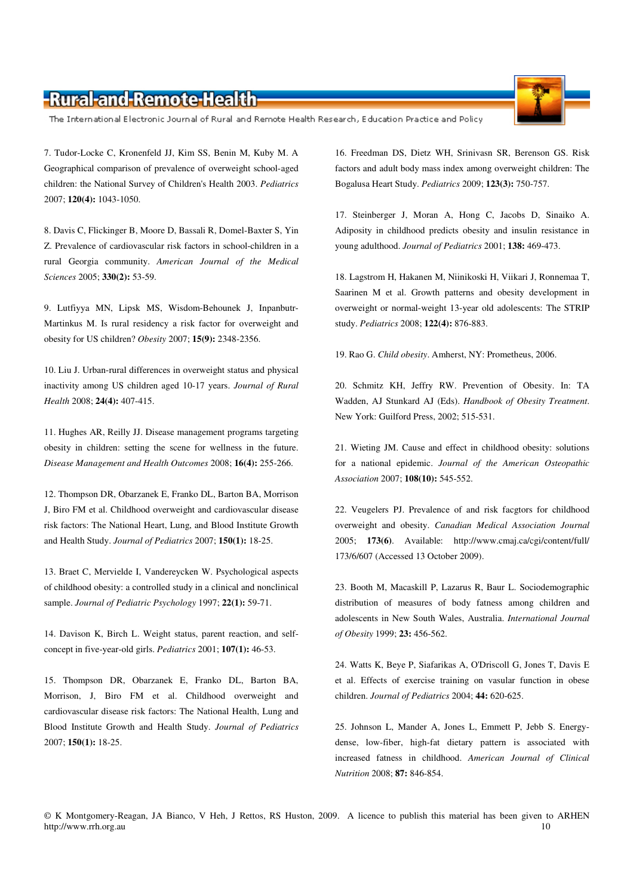The International Electronic Journal of Rural and Remote Health Research, Education Practice and Policy

7. Tudor-Locke C, Kronenfeld JJ, Kim SS, Benin M, Kuby M. A Geographical comparison of prevalence of overweight school-aged children: the National Survey of Children's Health 2003. *Pediatrics* 2007; **120(4):** 1043-1050.

8. Davis C, Flickinger B, Moore D, Bassali R, Domel-Baxter S, Yin Z. Prevalence of cardiovascular risk factors in school-children in a rural Georgia community. *American Journal of the Medical Sciences* 2005; **330(2):** 53-59.

9. Lutfiyya MN, Lipsk MS, Wisdom-Behounek J, Inpanbutr-Martinkus M. Is rural residency a risk factor for overweight and obesity for US children? *Obesity* 2007; **15(9):** 2348-2356.

10. Liu J. Urban-rural differences in overweight status and physical inactivity among US children aged 10-17 years. *Journal of Rural Health* 2008; **24(4):** 407-415.

11. Hughes AR, Reilly JJ. Disease management programs targeting obesity in children: setting the scene for wellness in the future. *Disease Management and Health Outcomes* 2008; **16(4):** 255-266.

12. Thompson DR, Obarzanek E, Franko DL, Barton BA, Morrison J, Biro FM et al. Childhood overweight and cardiovascular disease risk factors: The National Heart, Lung, and Blood Institute Growth and Health Study. *Journal of Pediatrics* 2007; **150(1):** 18-25.

13. Braet C, Mervielde I, Vandereycken W. Psychological aspects of childhood obesity: a controlled study in a clinical and nonclinical sample. *Journal of Pediatric Psychology* 1997; **22(1):** 59-71.

14. Davison K, Birch L. Weight status, parent reaction, and selfconcept in five-year-old girls. *Pediatrics* 2001; **107(1):** 46-53.

15. Thompson DR, Obarzanek E, Franko DL, Barton BA, Morrison, J, Biro FM et al. Childhood overweight and cardiovascular disease risk factors: The National Health, Lung and Blood Institute Growth and Health Study. *Journal of Pediatrics* 2007; **150(1):** 18-25.

16. Freedman DS, Dietz WH, Srinivasn SR, Berenson GS. Risk factors and adult body mass index among overweight children: The Bogalusa Heart Study. *Pediatrics* 2009; **123(3):** 750-757.

17. Steinberger J, Moran A, Hong C, Jacobs D, Sinaiko A. Adiposity in childhood predicts obesity and insulin resistance in young adulthood. *Journal of Pediatrics* 2001; **138:** 469-473.

18. Lagstrom H, Hakanen M, Niinikoski H, Viikari J, Ronnemaa T, Saarinen M et al. Growth patterns and obesity development in overweight or normal-weight 13-year old adolescents: The STRIP study. *Pediatrics* 2008; **122(4):** 876-883.

19. Rao G. *Child obesity*. Amherst, NY: Prometheus, 2006.

20. Schmitz KH, Jeffry RW. Prevention of Obesity. In: TA Wadden, AJ Stunkard AJ (Eds). *Handbook of Obesity Treatment*. New York: Guilford Press, 2002; 515-531.

21. Wieting JM. Cause and effect in childhood obesity: solutions for a national epidemic. *Journal of the American Osteopathic Association* 2007; **108(10):** 545-552.

22. Veugelers PJ. Prevalence of and risk facgtors for childhood overweight and obesity. *Canadian Medical Association Journal* 2005; **173(6)**. Available: http://www.cmaj.ca/cgi/content/full/ 173/6/607 (Accessed 13 October 2009).

23. Booth M, Macaskill P, Lazarus R, Baur L. Sociodemographic distribution of measures of body fatness among children and adolescents in New South Wales, Australia. *International Journal of Obesity* 1999; **23:** 456-562.

24. Watts K, Beye P, Siafarikas A, O'Driscoll G, Jones T, Davis E et al. Effects of exercise training on vasular function in obese children. *Journal of Pediatrics* 2004; **44:** 620-625.

25. Johnson L, Mander A, Jones L, Emmett P, Jebb S. Energydense, low-fiber, high-fat dietary pattern is associated with increased fatness in childhood. *American Journal of Clinical Nutrition* 2008; **87:** 846-854.